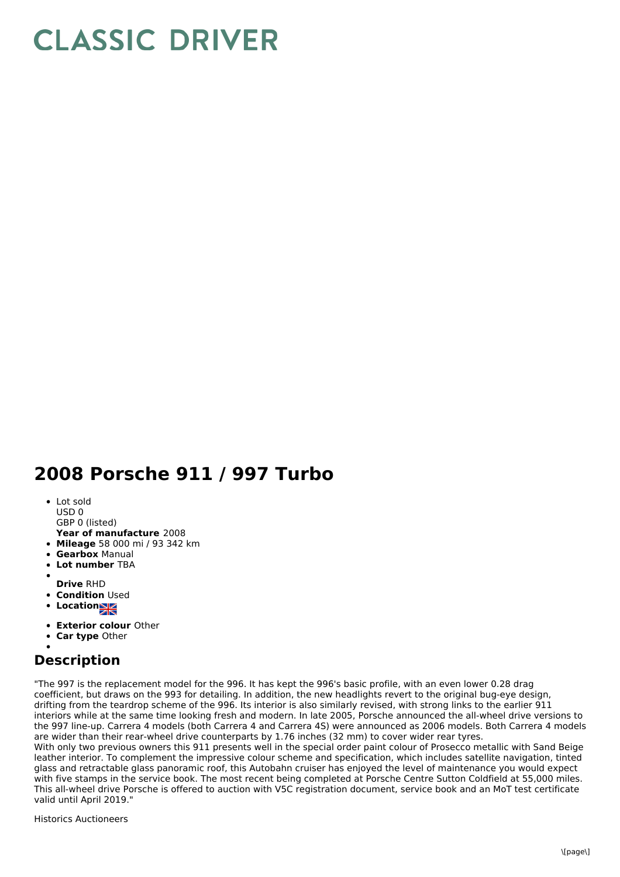## **CLASSIC DRIVER**

## **2008 Porsche 911 / 997 Turbo**

- Lot sold USD 0
- GBP 0 (listed)
- **Year of manufacture** 2008
- **Mileage** 58 000 mi / 93 342 km
- **Gearbox** Manual
- **Lot number** TBA
- 
- **Drive** RHD
- **Condition Used**
- **Location**
- **Exterior colour** Other
- **Car type** Other
- 

## **Description**

"The 997 is the replacement model for the 996. It has kept the 996's basic profile, with an even lower 0.28 drag coefficient, but draws on the 993 for detailing. In addition, the new headlights revert to the original bug-eye design, drifting from the teardrop scheme of the 996. Its interior is also similarly revised, with strong links to the earlier 911 interiors while at the same time looking fresh and modern. In late 2005, Porsche announced the all-wheel drive versions to the 997 line-up. Carrera 4 models (both Carrera 4 and Carrera 4S) were announced as 2006 models. Both Carrera 4 models are wider than their rear-wheel drive counterparts by 1.76 inches (32 mm) to cover wider rear tyres.

With only two previous owners this 911 presents well in the special order paint colour of Prosecco metallic with Sand Beige leather interior. To complement the impressive colour scheme and specification, which includes satellite navigation, tinted glass and retractable glass panoramic roof, this Autobahn cruiser has enjoyed the level of maintenance you would expect with five stamps in the service book. The most recent being completed at Porsche Centre Sutton Coldfield at 55,000 miles. This all-wheel drive Porsche is offered to auction with V5C registration document, service book and an MoT test certificate valid until April 2019."

Historics Auctioneers